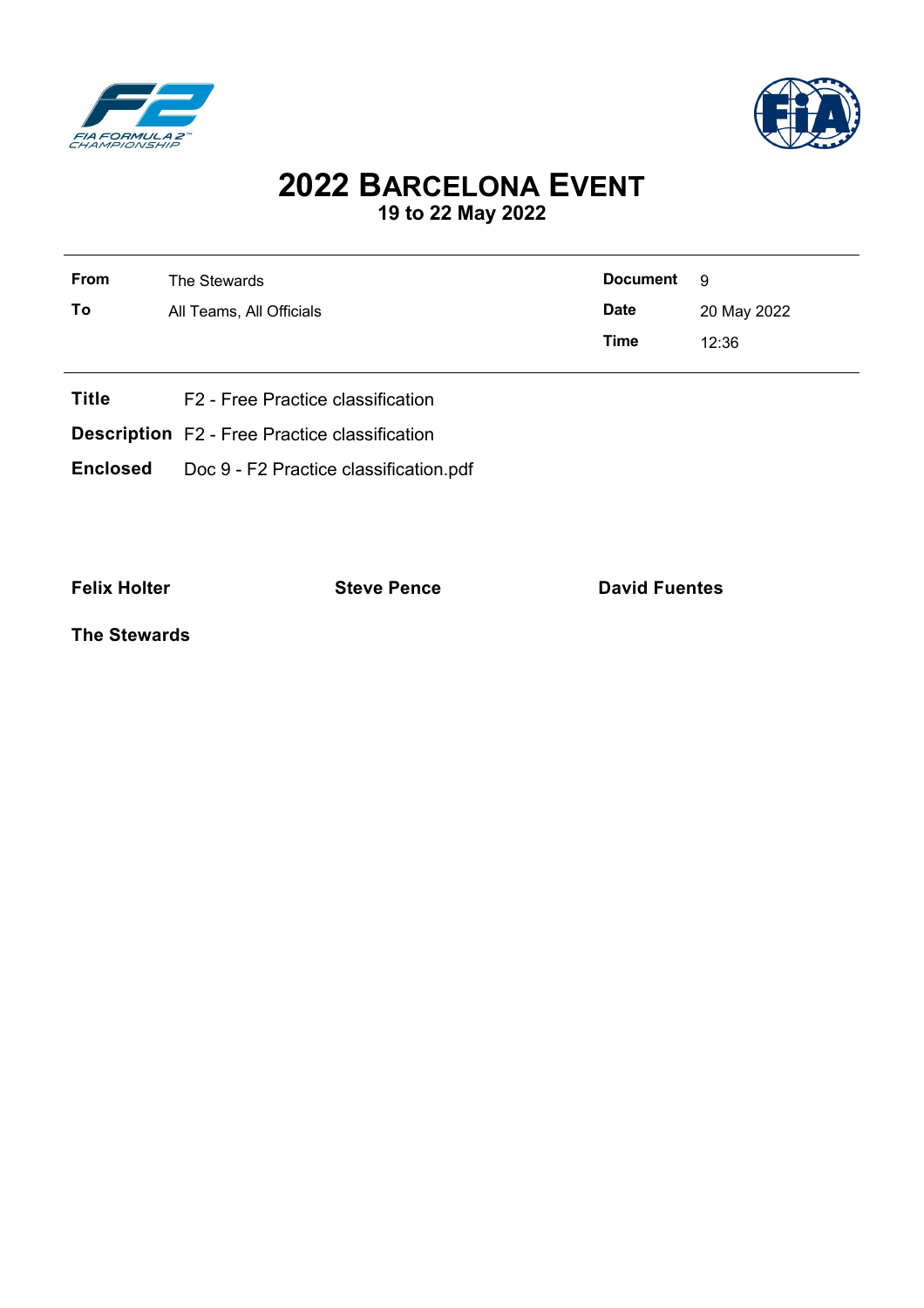



## **2022 BARCELONA EVENT 19 to 22 May 2022**

| <b>From</b>                                          | The Stewards                                  | <b>Document</b> | 9           |  |  |  |
|------------------------------------------------------|-----------------------------------------------|-----------------|-------------|--|--|--|
| To                                                   | All Teams, All Officials                      | <b>Date</b>     | 20 May 2022 |  |  |  |
|                                                      |                                               | <b>Time</b>     | 12:36       |  |  |  |
|                                                      |                                               |                 |             |  |  |  |
| <b>Title</b>                                         | F <sub>2</sub> - Free Practice classification |                 |             |  |  |  |
| <b>Description</b> F2 - Free Practice classification |                                               |                 |             |  |  |  |
| <b>Enclosed</b>                                      | Doc 9 - F2 Practice classification.pdf        |                 |             |  |  |  |

**Felix Holter Construction Steve Pence David Fuentes** 

**The Stewards**